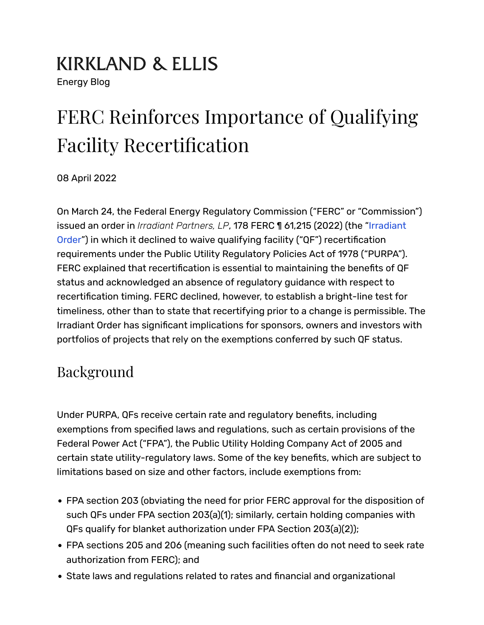# **KIRKLAND & ELLIS**

Energy Blog

## FERC Reinforces Importance of Qualifying Facility Recertification

08 April 2022

On March 24, the Federal Energy Regulatory Commission ("FERC" or "Commission") issued an order in *Irradiant Partners, LP*, 178 FERC ¶ 61,215 (2022) (the ["Irradiant](https://www.ferc.gov/media/el22-8-000) [Order"](https://www.ferc.gov/media/el22-8-000)) in which it declined to waive qualifying facility ("QF") recertification requirements under the Public Utility Regulatory Policies Act of 1978 ("PURPA"). FERC explained that recertification is essential to maintaining the benefits of QF status and acknowledged an absence of regulatory guidance with respect to recertification timing. FERC declined, however, to establish a bright-line test for timeliness, other than to state that recertifying prior to a change is permissible. The Irradiant Order has significant implications for sponsors, owners and investors with portfolios of projects that rely on the exemptions conferred by such QF status.

### Background

Under PURPA, QFs receive certain rate and regulatory bene�ts, including exemptions from specified laws and regulations, such as certain provisions of the Federal Power Act ("FPA"), the Public Utility Holding Company Act of 2005 and certain state utility-regulatory laws. Some of the key bene�ts, which are subject to limitations based on size and other factors, include exemptions from:

- FPA section 203 (obviating the need for prior FERC approval for the disposition of such QFs under FPA section 203(a)(1); similarly, certain holding companies with QFs qualify for blanket authorization under FPA Section 203(a)(2));
- FPA sections 205 and 206 (meaning such facilities often do not need to seek rate authorization from FERC); and
- State laws and regulations related to rates and financial and organizational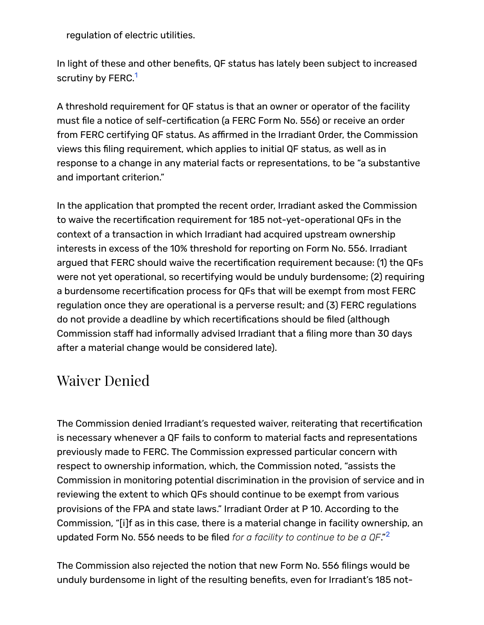regulation of electric utilities.

In light of these and other benefits, QF status has lately been subject to increased scrutiny by FERC.<sup>[1](https://www.kirkland.com/publications/blog-post/2022/04/ferc-qualifying-facility-recertification#fn1)</sup>

A threshold requirement for QF status is that an owner or operator of the facility must �le a notice of self-certi�cation (a FERC Form No. 556) or receive an order from FERC certifying QF status. As affirmed in the Irradiant Order, the Commission views this filing requirement, which applies to initial QF status, as well as in response to a change in any material facts or representations, to be "a substantive and important criterion."

In the application that prompted the recent order, Irradiant asked the Commission to waive the recertification requirement for 185 not-yet-operational QFs in the context of a transaction in which Irradiant had acquired upstream ownership interests in excess of the 10% threshold for reporting on Form No. 556. Irradiant argued that FERC should waive the recerti�cation requirement because: (1) the QFs were not yet operational, so recertifying would be unduly burdensome; (2) requiring a burdensome recertification process for QFs that will be exempt from most FERC regulation once they are operational is a perverse result; and (3) FERC regulations do not provide a deadline by which recerti�cations should be �led (although Commission staff had informally advised Irradiant that a filing more than 30 days after a material change would be considered late).

### Waiver Denied

The Commission denied Irradiant's requested waiver, reiterating that recertification is necessary whenever a QF fails to conform to material facts and representations previously made to FERC. The Commission expressed particular concern with respect to ownership information, which, the Commission noted, "assists the Commission in monitoring potential discrimination in the provision of service and in reviewing the extent to which QFs should continue to be exempt from various provisions of the FPA and state laws." Irradiant Order at P 10. According to the Commission, "[i]f as in this case, there is a material change in facility ownership, an updated Form No. 556 needs to be �led *for a facility to continue to be a QF*." [2](https://www.kirkland.com/publications/blog-post/2022/04/ferc-qualifying-facility-recertification#fn2)

The Commission also rejected the notion that new Form No. 556 filings would be unduly burdensome in light of the resulting bene�ts, even for Irradiant's 185 not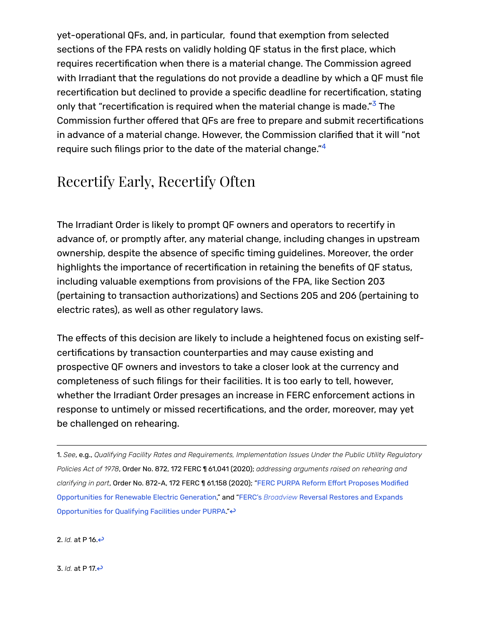yet-operational QFs, and, in particular, found that exemption from selected sections of the FPA rests on validly holding QF status in the first place, which requires recertification when there is a material change. The Commission agreed with Irradiant that the regulations do not provide a deadline by which a QF must file recertification but declined to provide a specific deadline for recertification, stating only that ["](https://www.kirkland.com/publications/blog-post/2022/04/ferc-qualifying-facility-recertification#fn3)recertification is required when the material change is made." $^{\rm 3}$  The Commission further offered that QFs are free to prepare and submit recertifications in advance of a material change. However, the Commission clarified that it will "not require such filings prior to the date of the material change." $^4$  $^4$ 

#### Recertify Early, Recertify Often

The Irradiant Order is likely to prompt QF owners and operators to recertify in advance of, or promptly after, any material change, including changes in upstream ownership, despite the absence of speci�c timing guidelines. Moreover, the order highlights the importance of recertification in retaining the benefits of QF status, including valuable exemptions from provisions of the FPA, like Section 203 (pertaining to transaction authorizations) and Sections 205 and 206 (pertaining to electric rates), as well as other regulatory laws.

The effects of this decision are likely to include a heightened focus on existing selfcertifications by transaction counterparties and may cause existing and prospective QF owners and investors to take a closer look at the currency and completeness of such filings for their facilities. It is too early to tell, however, whether the Irradiant Order presages an increase in FERC enforcement actions in response to untimely or missed recertifications, and the order, moreover, may yet be challenged on rehearing.

1. *See*, e.g., *Qualifying Facility Rates and Requirements, Implementation Issues Under the Public Utility Regulatory Policies Act of 1978*, Order No. 872, 172 FERC ¶ 61,041 (2020); *addressing arguments raised on rehearing and* clarifying in part, Order No. 872-A, 172 FERC 1 61,158 (2020); ["FERC PURPA Reform E](https://www.kirkland.com/publications/kirkland-alert/2019/09/ferc-launches-purpa-reform-effort)ffort Proposes Modified [Opportunities for Renewable Electric Generation,](https://www.kirkland.com/publications/kirkland-alert/2019/09/ferc-launches-purpa-reform-effort)" and ["FERC's](https://www.kirkland.com/publications/blog-post/2021/03/ferc-broadview-reversal) *[Broadview](https://www.kirkland.com/publications/blog-post/2021/03/ferc-broadview-reversal)* [Reversal Restores and Expands](https://www.kirkland.com/publications/blog-post/2021/03/ferc-broadview-reversal) [Opportunities for Qualifying Facilities under PURPA.](https://www.kirkland.com/publications/blog-post/2021/03/ferc-broadview-reversal)"<

2. *Id.* at P 16.[↩](https://www.kirkland.com/publications/blog-post/2022/04/ferc-qualifying-facility-recertification#ref2)

3. *Id.* at P 17.[↩](https://www.kirkland.com/publications/blog-post/2022/04/ferc-qualifying-facility-recertification#ref3)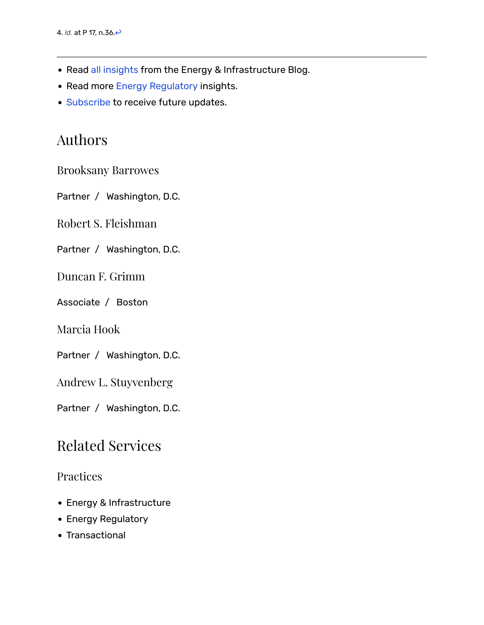- Read [all insights](https://www.kirkland.com/content/energy-and-infrastructure-blog) from the Energy & Infrastructure Blog.
- Read more [Energy Regulatory](https://www.kirkland.com/insights/energy-regulatory) insights.
- [Subscribe](mailto:alanna.byrne@kirkland.com?subject=Subscribe to Kirkland Energy Blog) to receive future updates.

#### Authors

[Brooksany Barrowes](https://www.kirkland.com/lawyers/b/barrowes-brooksany)

Partner / [Washington, D.C.](https://www.kirkland.com/offices/washington-dc)

[Robert S. Fleishman](https://www.kirkland.com/lawyers/f/fleishman-robert-s)

Partner / [Washington, D.C.](https://www.kirkland.com/offices/washington-dc)

[Duncan F. Grimm](https://www.kirkland.com/lawyers/g/grimm-duncan)

Associate / [Boston](https://www.kirkland.com/offices/boston)

[Marcia Hook](https://www.kirkland.com/lawyers/h/hook-marcia)

Partner / [Washington, D.C.](https://www.kirkland.com/offices/washington-dc)

[Andrew L. Stuyvenberg](https://www.kirkland.com/lawyers/s/stuyvenberg-andrew-l)

Partner / [Washington, D.C.](https://www.kirkland.com/offices/washington-dc)

#### Related Services

#### **Practices**

- [Energy & Infrastructure](https://www.kirkland.com/services/practices/transactional/energy-and-infrastructure)
- [Energy Regulatory](https://www.kirkland.com/services/practices/transactional/energy-regulatory)
- [Transactional](https://www.kirkland.com/services/practices/transactional)